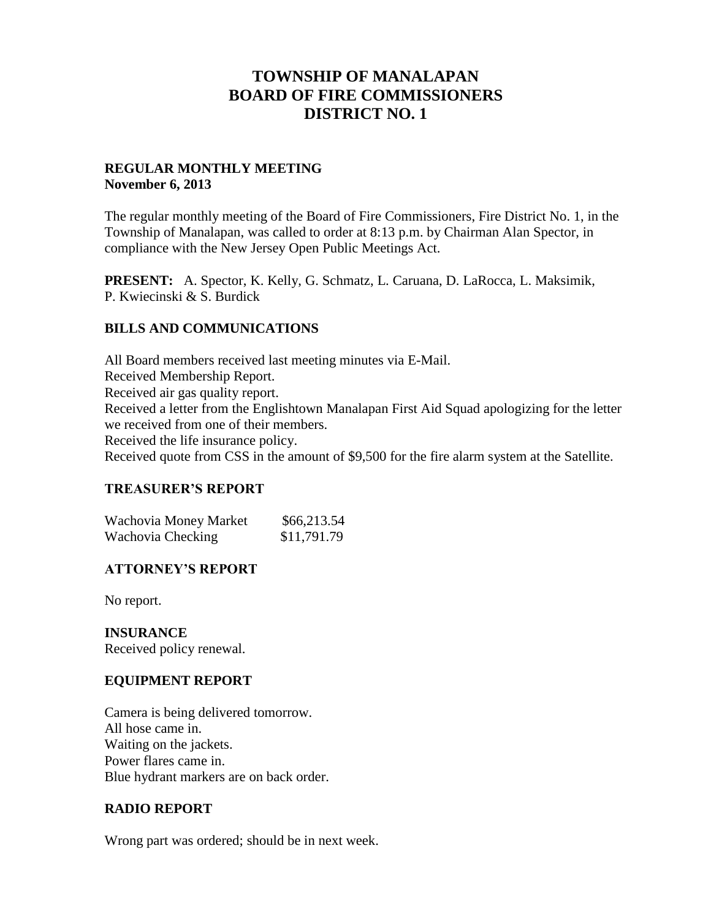# **TOWNSHIP OF MANALAPAN BOARD OF FIRE COMMISSIONERS DISTRICT NO. 1**

#### **REGULAR MONTHLY MEETING November 6, 2013**

The regular monthly meeting of the Board of Fire Commissioners, Fire District No. 1, in the Township of Manalapan, was called to order at 8:13 p.m. by Chairman Alan Spector, in compliance with the New Jersey Open Public Meetings Act.

**PRESENT:** A. Spector, K. Kelly, G. Schmatz, L. Caruana, D. LaRocca, L. Maksimik, P. Kwiecinski & S. Burdick

#### **BILLS AND COMMUNICATIONS**

All Board members received last meeting minutes via E-Mail. Received Membership Report. Received air gas quality report. Received a letter from the Englishtown Manalapan First Aid Squad apologizing for the letter we received from one of their members. Received the life insurance policy. Received quote from CSS in the amount of \$9,500 for the fire alarm system at the Satellite.

#### **TREASURER'S REPORT**

| Wachovia Money Market | \$66,213.54 |
|-----------------------|-------------|
| Wachovia Checking     | \$11,791.79 |

## **ATTORNEY'S REPORT**

No report.

**INSURANCE** Received policy renewal.

## **EQUIPMENT REPORT**

Camera is being delivered tomorrow. All hose came in. Waiting on the jackets. Power flares came in. Blue hydrant markers are on back order.

#### **RADIO REPORT**

Wrong part was ordered; should be in next week.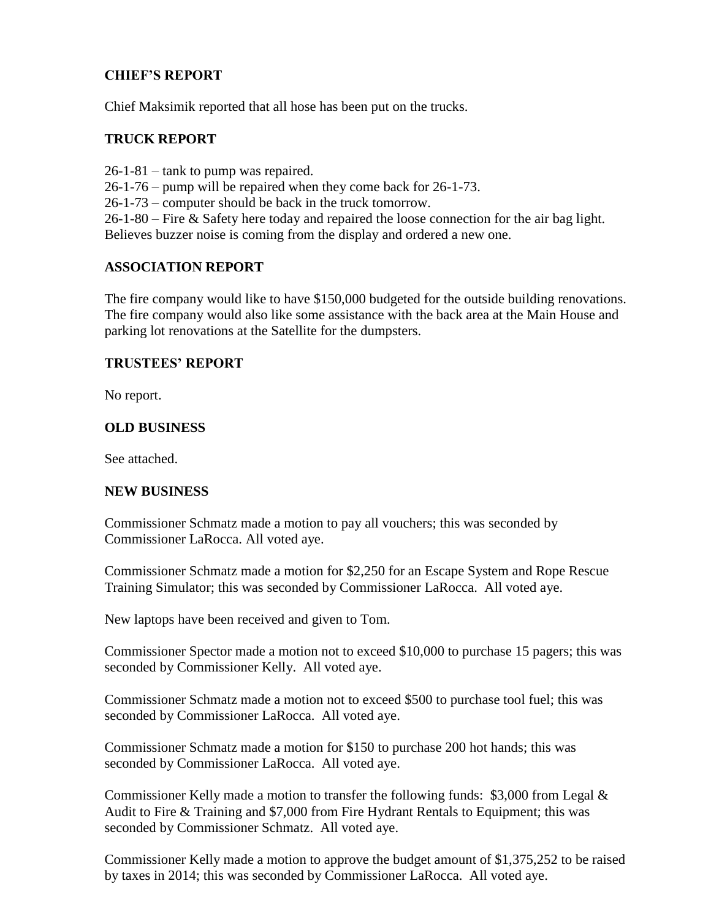## **CHIEF'S REPORT**

Chief Maksimik reported that all hose has been put on the trucks.

#### **TRUCK REPORT**

26-1-81 – tank to pump was repaired.

26-1-76 – pump will be repaired when they come back for 26-1-73.

26-1-73 – computer should be back in the truck tomorrow.

26-1-80 – Fire & Safety here today and repaired the loose connection for the air bag light. Believes buzzer noise is coming from the display and ordered a new one.

#### **ASSOCIATION REPORT**

The fire company would like to have \$150,000 budgeted for the outside building renovations. The fire company would also like some assistance with the back area at the Main House and parking lot renovations at the Satellite for the dumpsters.

#### **TRUSTEES' REPORT**

No report.

#### **OLD BUSINESS**

See attached.

## **NEW BUSINESS**

Commissioner Schmatz made a motion to pay all vouchers; this was seconded by Commissioner LaRocca. All voted aye.

Commissioner Schmatz made a motion for \$2,250 for an Escape System and Rope Rescue Training Simulator; this was seconded by Commissioner LaRocca. All voted aye.

New laptops have been received and given to Tom.

Commissioner Spector made a motion not to exceed \$10,000 to purchase 15 pagers; this was seconded by Commissioner Kelly. All voted aye.

Commissioner Schmatz made a motion not to exceed \$500 to purchase tool fuel; this was seconded by Commissioner LaRocca. All voted aye.

Commissioner Schmatz made a motion for \$150 to purchase 200 hot hands; this was seconded by Commissioner LaRocca. All voted aye.

Commissioner Kelly made a motion to transfer the following funds: \$3,000 from Legal  $\&$ Audit to Fire & Training and \$7,000 from Fire Hydrant Rentals to Equipment; this was seconded by Commissioner Schmatz. All voted aye.

Commissioner Kelly made a motion to approve the budget amount of \$1,375,252 to be raised by taxes in 2014; this was seconded by Commissioner LaRocca. All voted aye.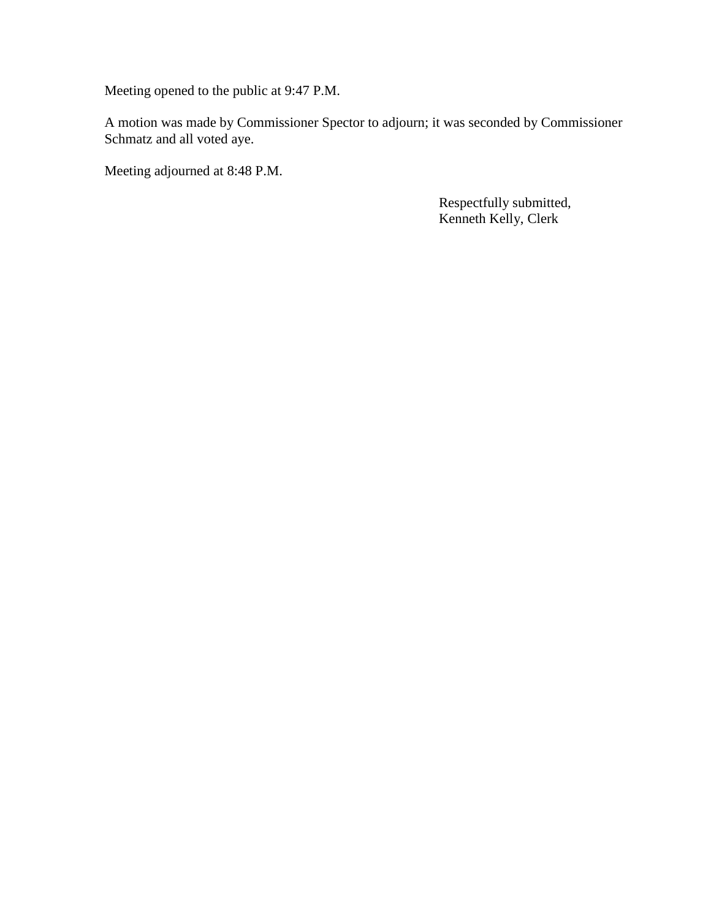Meeting opened to the public at 9:47 P.M.

A motion was made by Commissioner Spector to adjourn; it was seconded by Commissioner Schmatz and all voted aye.

Meeting adjourned at 8:48 P.M.

 Respectfully submitted, Kenneth Kelly, Clerk